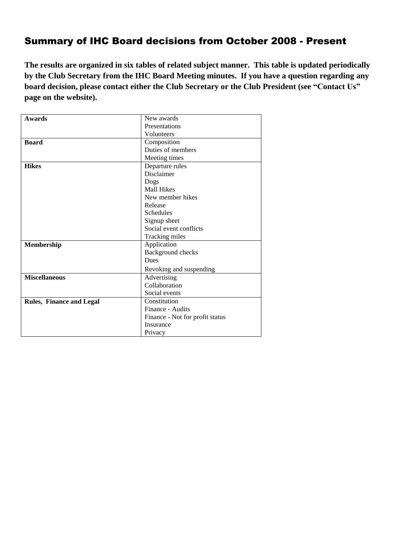# Summary of IHC Board decisions from October 2008 - Present

**The results are organized in six tables of related subject manner. This table is updated periodically by the Club Secretary from the IHC Board Meeting minutes. If you have a question regarding any board decision, please contact either the Club Secretary or the Club President (see "Contact Us" page on the website).** 

| <b>Awards</b>                   | New awards                      |
|---------------------------------|---------------------------------|
|                                 | Presentations                   |
|                                 | Volunteers                      |
| <b>Board</b>                    | Composition                     |
|                                 | Duties of members               |
|                                 | Meeting times                   |
| <b>Hikes</b>                    | Departure rules                 |
|                                 | Disclaimer                      |
|                                 | Dogs                            |
|                                 | <b>Mall Hikes</b>               |
|                                 | New member hikes                |
|                                 | Release                         |
|                                 | <b>Schedules</b>                |
|                                 | Signup sheet                    |
|                                 | Social event conflicts          |
|                                 | Tracking miles                  |
| Membership                      | Application                     |
|                                 | Background checks               |
|                                 | <b>Dues</b>                     |
|                                 | Revoking and suspending         |
| <b>Miscellaneous</b>            | Advertising                     |
|                                 | Collaboration                   |
|                                 | Social events                   |
| <b>Rules, Finance and Legal</b> | Constitution                    |
|                                 | Finance - Audits                |
|                                 | Finance - Not for profit status |
|                                 | Insurance                       |
|                                 | Privacy                         |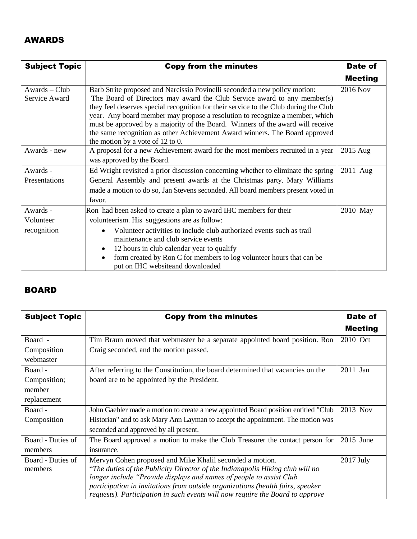#### AWARDS

| <b>Subject Topic</b> | <b>Copy from the minutes</b>                                                                                                                                         | Date of        |
|----------------------|----------------------------------------------------------------------------------------------------------------------------------------------------------------------|----------------|
|                      |                                                                                                                                                                      | <b>Meeting</b> |
| Awards – Club        | Barb Strite proposed and Narcissio Povinelli seconded a new policy motion:                                                                                           | 2016 Nov       |
| Service Award        | The Board of Directors may award the Club Service award to any member(s)                                                                                             |                |
|                      | they feel deserves special recognition for their service to the Club during the Club<br>year. Any board member may propose a resolution to recognize a member, which |                |
|                      | must be approved by a majority of the Board. Winners of the award will receive                                                                                       |                |
|                      | the same recognition as other Achievement Award winners. The Board approved                                                                                          |                |
|                      | the motion by a vote of $12$ to 0.                                                                                                                                   |                |
| Awards - new         | A proposal for a new Achievement award for the most members recruited in a year                                                                                      | 2015 Aug       |
|                      | was approved by the Board.                                                                                                                                           |                |
| Awards -             | Ed Wright revisited a prior discussion concerning whether to eliminate the spring                                                                                    | 2011 Aug       |
| Presentations        | General Assembly and present awards at the Christmas party. Mary Williams                                                                                            |                |
|                      | made a motion to do so, Jan Stevens seconded. All board members present voted in                                                                                     |                |
|                      | favor.                                                                                                                                                               |                |
| Awards -             | Ron had been asked to create a plan to award IHC members for their                                                                                                   | 2010 May       |
| Volunteer            | volunteerism. His suggestions are as follow:                                                                                                                         |                |
| recognition          | Volunteer activities to include club authorized events such as trail                                                                                                 |                |
|                      | maintenance and club service events                                                                                                                                  |                |
|                      | 12 hours in club calendar year to qualify                                                                                                                            |                |
|                      | form created by Ron C for members to log volunteer hours that can be<br>$\bullet$                                                                                    |                |
|                      | put on IHC websiteand downloaded                                                                                                                                     |                |

### BOARD

| <b>Subject Topic</b> | <b>Copy from the minutes</b>                                                       | Date of        |
|----------------------|------------------------------------------------------------------------------------|----------------|
|                      |                                                                                    | <b>Meeting</b> |
| Board -              | Tim Braun moved that webmaster be a separate appointed board position. Ron         | 2010 Oct       |
| Composition          | Craig seconded, and the motion passed.                                             |                |
| webmaster            |                                                                                    |                |
| Board -              | After referring to the Constitution, the board determined that vacancies on the    | 2011 Jan       |
| Composition;         | board are to be appointed by the President.                                        |                |
| member               |                                                                                    |                |
| replacement          |                                                                                    |                |
| Board -              | John Gaebler made a motion to create a new appointed Board position entitled "Club | 2013 Nov       |
| Composition          | Historian" and to ask Mary Ann Layman to accept the appointment. The motion was    |                |
|                      | seconded and approved by all present.                                              |                |
| Board - Duties of    | The Board approved a motion to make the Club Treasurer the contact person for      | $2015$ June    |
| members              | insurance.                                                                         |                |
| Board - Duties of    | Mervyn Cohen proposed and Mike Khalil seconded a motion.                           | 2017 July      |
| members              | "The duties of the Publicity Director of the Indianapolis Hiking club will no      |                |
|                      | longer include "Provide displays and names of people to assist Club                |                |
|                      | participation in invitations from outside organizations (health fairs, speaker     |                |
|                      | requests). Participation in such events will now require the Board to approve      |                |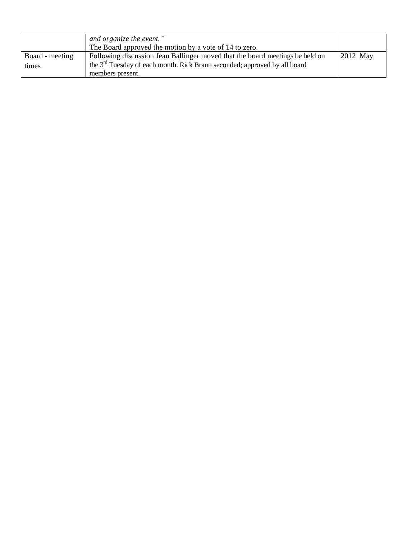|                 | and organize the event."<br>The Board approved the motion by a vote of 14 to zero. |          |
|-----------------|------------------------------------------------------------------------------------|----------|
| Board - meeting | Following discussion Jean Ballinger moved that the board meetings be held on       | 2012 May |
| times           | the $3rd$ Tuesday of each month. Rick Braun seconded; approved by all board        |          |
|                 | members present.                                                                   |          |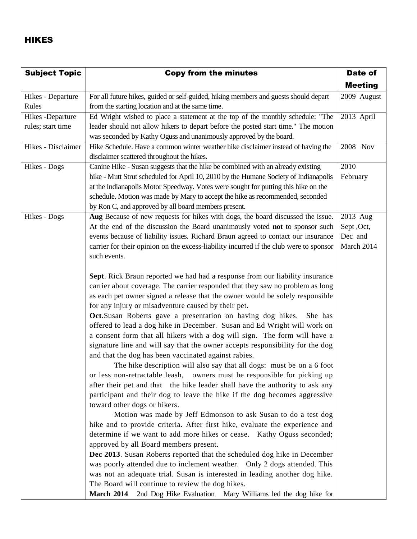#### HIKES

| <b>Subject Topic</b> | <b>Copy from the minutes</b>                                                           | Date of        |
|----------------------|----------------------------------------------------------------------------------------|----------------|
|                      |                                                                                        | <b>Meeting</b> |
| Hikes - Departure    | For all future hikes, guided or self-guided, hiking members and guests should depart   | 2009 August    |
| Rules                | from the starting location and at the same time.                                       |                |
| Hikes - Departure    | Ed Wright wished to place a statement at the top of the monthly schedule: "The         | 2013 April     |
| rules; start time    | leader should not allow hikers to depart before the posted start time." The motion     |                |
|                      | was seconded by Kathy Oguss and unanimously approved by the board.                     |                |
| Hikes - Disclaimer   | Hike Schedule. Have a common winter weather hike disclaimer instead of having the      | 2008 Nov       |
|                      | disclaimer scattered throughout the hikes.                                             |                |
| Hikes - Dogs         | Canine Hike - Susan suggests that the hike be combined with an already existing        | 2010           |
|                      | hike - Mutt Strut scheduled for April 10, 2010 by the Humane Society of Indianapolis   | February       |
|                      | at the Indianapolis Motor Speedway. Votes were sought for putting this hike on the     |                |
|                      | schedule. Motion was made by Mary to accept the hike as recommended, seconded          |                |
|                      | by Ron C, and approved by all board members present.                                   |                |
| Hikes - Dogs         | Aug Because of new requests for hikes with dogs, the board discussed the issue.        | 2013 Aug       |
|                      | At the end of the discussion the Board unanimously voted not to sponsor such           | Sept, Oct,     |
|                      | events because of liability issues. Richard Braun agreed to contact our insurance      | Dec and        |
|                      | carrier for their opinion on the excess-liability incurred if the club were to sponsor | March 2014     |
|                      | such events.                                                                           |                |
|                      |                                                                                        |                |
|                      | Sept. Rick Braun reported we had had a response from our liability insurance           |                |
|                      | carrier about coverage. The carrier responded that they saw no problem as long         |                |
|                      | as each pet owner signed a release that the owner would be solely responsible          |                |
|                      | for any injury or misadventure caused by their pet.                                    |                |
|                      | Oct.Susan Roberts gave a presentation on having dog hikes.<br>She has                  |                |
|                      | offered to lead a dog hike in December. Susan and Ed Wright will work on               |                |
|                      | a consent form that all hikers with a dog will sign. The form will have a              |                |
|                      | signature line and will say that the owner accepts responsibility for the dog          |                |
|                      | and that the dog has been vaccinated against rabies.                                   |                |
|                      | The hike description will also say that all dogs: must be on a 6 foot                  |                |
|                      | or less non-retractable leash, owners must be responsible for picking up               |                |
|                      | after their pet and that the hike leader shall have the authority to ask any           |                |
|                      | participant and their dog to leave the hike if the dog becomes aggressive              |                |
|                      | toward other dogs or hikers.                                                           |                |
|                      | Motion was made by Jeff Edmonson to ask Susan to do a test dog                         |                |
|                      | hike and to provide criteria. After first hike, evaluate the experience and            |                |
|                      | determine if we want to add more hikes or cease. Kathy Oguss seconded;                 |                |
|                      | approved by all Board members present.                                                 |                |
|                      | Dec 2013. Susan Roberts reported that the scheduled dog hike in December               |                |
|                      | was poorly attended due to inclement weather. Only 2 dogs attended. This               |                |
|                      | was not an adequate trial. Susan is interested in leading another dog hike.            |                |
|                      | The Board will continue to review the dog hikes.                                       |                |
|                      | 2nd Dog Hike Evaluation Mary Williams led the dog hike for<br><b>March 2014</b>        |                |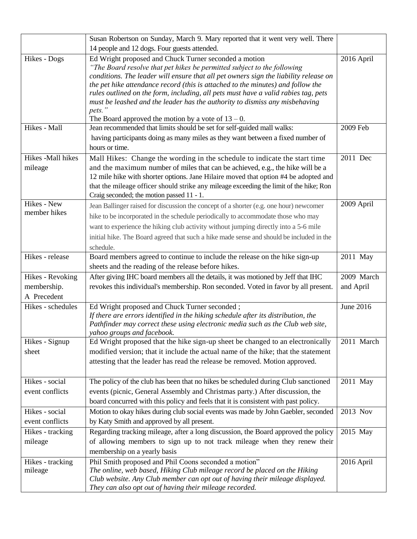|                   | Susan Robertson on Sunday, March 9. Mary reported that it went very well. There                                                                                                                                      |            |
|-------------------|----------------------------------------------------------------------------------------------------------------------------------------------------------------------------------------------------------------------|------------|
|                   | 14 people and 12 dogs. Four guests attended.                                                                                                                                                                         |            |
| Hikes - Dogs      | Ed Wright proposed and Chuck Turner seconded a motion                                                                                                                                                                | 2016 April |
|                   | "The Board resolve that pet hikes be permitted subject to the following                                                                                                                                              |            |
|                   | conditions. The leader will ensure that all pet owners sign the liability release on                                                                                                                                 |            |
|                   | the pet hike attendance record (this is attached to the minutes) and follow the<br>rules outlined on the form, including, all pets must have a valid rabies tag, pets                                                |            |
|                   | must be leashed and the leader has the authority to dismiss any misbehaving                                                                                                                                          |            |
|                   | pets."                                                                                                                                                                                                               |            |
|                   | The Board approved the motion by a vote of $13 - 0$ .                                                                                                                                                                |            |
| Hikes - Mall      | Jean recommended that limits should be set for self-guided mall walks:                                                                                                                                               | 2009 Feb   |
|                   | having participants doing as many miles as they want between a fixed number of                                                                                                                                       |            |
|                   | hours or time.                                                                                                                                                                                                       |            |
| Hikes -Mall hikes | Mall Hikes: Change the wording in the schedule to indicate the start time                                                                                                                                            | 2011 Dec   |
| mileage           | and the maximum number of miles that can be achieved, e.g., the hike will be a                                                                                                                                       |            |
|                   | 12 mile hike with shorter options. Jane Hilaire moved that option #4 be adopted and                                                                                                                                  |            |
|                   | that the mileage officer should strike any mileage exceeding the limit of the hike; Ron                                                                                                                              |            |
| Hikes - New       | Craig seconded; the motion passed 11 - 1.                                                                                                                                                                            | 2009 April |
| member hikes      | Jean Ballinger raised for discussion the concept of a shorter (e.g. one hour) newcomer                                                                                                                               |            |
|                   | hike to be incorporated in the schedule periodically to accommodate those who may                                                                                                                                    |            |
|                   | want to experience the hiking club activity without jumping directly into a 5-6 mile                                                                                                                                 |            |
|                   | initial hike. The Board agreed that such a hike made sense and should be included in the                                                                                                                             |            |
|                   | schedule.                                                                                                                                                                                                            |            |
| Hikes - release   | Board members agreed to continue to include the release on the hike sign-up                                                                                                                                          | 2011 May   |
|                   | sheets and the reading of the release before hikes.                                                                                                                                                                  |            |
| Hikes - Revoking  | After giving IHC board members all the details, it was motioned by Jeff that IHC                                                                                                                                     | 2009 March |
| membership.       | revokes this individual's membership. Ron seconded. Voted in favor by all present.                                                                                                                                   | and April  |
| A Precedent       |                                                                                                                                                                                                                      |            |
| Hikes - schedules | Ed Wright proposed and Chuck Turner seconded;<br>If there are errors identified in the hiking schedule after its distribution, the                                                                                   | June 2016  |
|                   | Pathfinder may correct these using electronic media such as the Club web site,                                                                                                                                       |            |
|                   | yahoo groups and facebook.                                                                                                                                                                                           |            |
| Hikes - Signup    | Ed Wright proposed that the hike sign-up sheet be changed to an electronically                                                                                                                                       | 2011 March |
| sheet             | modified version; that it include the actual name of the hike; that the statement                                                                                                                                    |            |
|                   | attesting that the leader has read the release be removed. Motion approved.                                                                                                                                          |            |
|                   |                                                                                                                                                                                                                      |            |
| Hikes - social    | The policy of the club has been that no hikes be scheduled during Club sanctioned                                                                                                                                    | 2011 May   |
| event conflicts   | events (picnic, General Assembly and Christmas party.) After discussion, the                                                                                                                                         |            |
|                   | board concurred with this policy and feels that it is consistent with past policy.                                                                                                                                   |            |
| Hikes - social    | Motion to okay hikes during club social events was made by John Gaebler, seconded                                                                                                                                    | 2013 Nov   |
| event conflicts   | by Katy Smith and approved by all present.                                                                                                                                                                           |            |
| Hikes - tracking  | Regarding tracking mileage, after a long discussion, the Board approved the policy                                                                                                                                   | 2015 May   |
| mileage           | of allowing members to sign up to not track mileage when they renew their                                                                                                                                            |            |
|                   | membership on a yearly basis                                                                                                                                                                                         |            |
| Hikes - tracking  | Phil Smith proposed and Phil Coons seconded a motion"                                                                                                                                                                | 2016 April |
| mileage           |                                                                                                                                                                                                                      |            |
|                   |                                                                                                                                                                                                                      |            |
|                   | The online, web based, Hiking Club mileage record be placed on the Hiking<br>Club website. Any Club member can opt out of having their mileage displayed.<br>They can also opt out of having their mileage recorded. |            |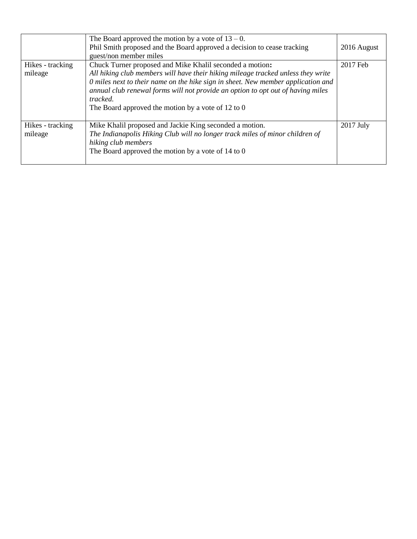|                             | The Board approved the motion by a vote of $13 - 0$ .<br>Phil Smith proposed and the Board approved a decision to cease tracking<br>guest/non member miles                                                                                                                                                                                                                            | 2016 August |
|-----------------------------|---------------------------------------------------------------------------------------------------------------------------------------------------------------------------------------------------------------------------------------------------------------------------------------------------------------------------------------------------------------------------------------|-------------|
| Hikes - tracking<br>mileage | Chuck Turner proposed and Mike Khalil seconded a motion:<br>All hiking club members will have their hiking mileage tracked unless they write<br>0 miles next to their name on the hike sign in sheet. New member application and<br>annual club renewal forms will not provide an option to opt out of having miles<br>tracked.<br>The Board approved the motion by a vote of 12 to 0 | 2017 Feb    |
| Hikes - tracking<br>mileage | Mike Khalil proposed and Jackie King seconded a motion.<br>The Indianapolis Hiking Club will no longer track miles of minor children of<br>hiking club members<br>The Board approved the motion by a vote of 14 to 0                                                                                                                                                                  | $2017$ July |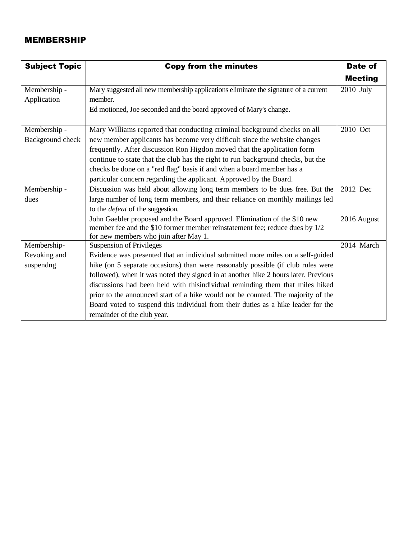#### MEMBERSHIP

| <b>Subject Topic</b> | <b>Copy from the minutes</b>                                                        | <b>Date of</b> |
|----------------------|-------------------------------------------------------------------------------------|----------------|
|                      |                                                                                     | <b>Meeting</b> |
| Membership -         | Mary suggested all new membership applications eliminate the signature of a current | 2010 July      |
| Application          | member.                                                                             |                |
|                      | Ed motioned, Joe seconded and the board approved of Mary's change.                  |                |
|                      |                                                                                     |                |
| Membership -         | Mary Williams reported that conducting criminal background checks on all            | 2010 Oct       |
| Background check     | new member applicants has become very difficult since the website changes           |                |
|                      | frequently. After discussion Ron Higdon moved that the application form             |                |
|                      | continue to state that the club has the right to run background checks, but the     |                |
|                      | checks be done on a "red flag" basis if and when a board member has a               |                |
|                      | particular concern regarding the applicant. Approved by the Board.                  |                |
| Membership -         | Discussion was held about allowing long term members to be dues free. But the       | 2012 Dec       |
| dues                 | large number of long term members, and their reliance on monthly mailings led       |                |
|                      | to the <i>defeat</i> of the suggestion.                                             |                |
|                      | John Gaebler proposed and the Board approved. Elimination of the \$10 new           | 2016 August    |
|                      | member fee and the \$10 former member reinstatement fee; reduce dues by 1/2         |                |
|                      | for new members who join after May 1.                                               |                |
| Membership-          | <b>Suspension of Privileges</b>                                                     | 2014 March     |
| Revoking and         | Evidence was presented that an individual submitted more miles on a self-guided     |                |
| suspendng            | hike (on 5 separate occasions) than were reasonably possible (if club rules were    |                |
|                      | followed), when it was noted they signed in at another hike 2 hours later. Previous |                |
|                      | discussions had been held with thisindividual reminding them that miles hiked       |                |
|                      | prior to the announced start of a hike would not be counted. The majority of the    |                |
|                      | Board voted to suspend this individual from their duties as a hike leader for the   |                |
|                      | remainder of the club year.                                                         |                |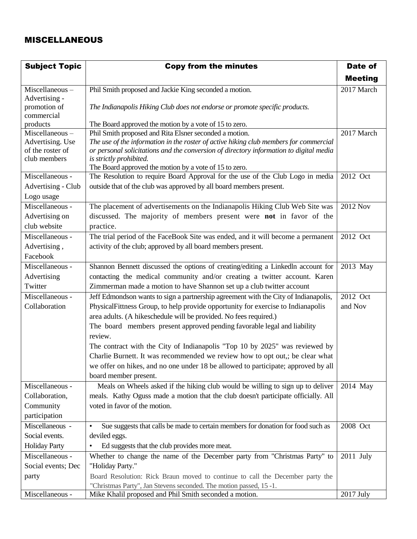### MISCELLANEOUS

| <b>Subject Topic</b>       | <b>Copy from the minutes</b>                                                                  | Date of         |
|----------------------------|-----------------------------------------------------------------------------------------------|-----------------|
|                            |                                                                                               | <b>Meeting</b>  |
| Miscellaneous-             | Phil Smith proposed and Jackie King seconded a motion.                                        | 2017 March      |
| Advertising -              |                                                                                               |                 |
| promotion of<br>commercial | The Indianapolis Hiking Club does not endorse or promote specific products.                   |                 |
| products                   | The Board approved the motion by a vote of 15 to zero.                                        |                 |
| Miscellaneous-             | Phil Smith proposed and Rita Elsner seconded a motion.                                        | 2017 March      |
| Advertising. Use           | The use of the information in the roster of active hiking club members for commercial         |                 |
| of the roster of           | or personal solicitations and the conversion of directory information to digital media        |                 |
| club members               | is strictly prohibited.<br>The Board approved the motion by a vote of 15 to zero.             |                 |
| Miscellaneous -            | The Resolution to require Board Approval for the use of the Club Logo in media                | 2012 Oct        |
| Advertising - Club         | outside that of the club was approved by all board members present.                           |                 |
| Logo usage                 |                                                                                               |                 |
| Miscellaneous -            | The placement of advertisements on the Indianapolis Hiking Club Web Site was                  | <b>2012 Nov</b> |
| Advertising on             | discussed. The majority of members present were not in favor of the                           |                 |
| club website               | practice.                                                                                     |                 |
| Miscellaneous -            | The trial period of the FaceBook Site was ended, and it will become a permanent               | 2012 Oct        |
| Advertising,               | activity of the club; approved by all board members present.                                  |                 |
| Facebook                   |                                                                                               |                 |
| Miscellaneous -            | Shannon Bennett discussed the options of creating/editing a Linkedln account for              | 2013 May        |
| Advertising                | contacting the medical community and/or creating a twitter account. Karen                     |                 |
| Twitter                    | Zimmerman made a motion to have Shannon set up a club twitter account                         |                 |
| Miscellaneous -            | Jeff Edmondson wants to sign a partnership agreement with the City of Indianapolis,           | 2012 Oct        |
| Collaboration              | PhysicalFittness Group, to help provide opportunity for exercise to Indianapolis              | and Nov         |
|                            | area adults. (A hikeschedule will be provided. No fees required.)                             |                 |
|                            | The board members present approved pending favorable legal and liability                      |                 |
|                            | review.                                                                                       |                 |
|                            | The contract with the City of Indianapolis "Top 10 by 2025" was reviewed by                   |                 |
|                            | Charlie Burnett. It was recommended we review how to opt out,; be clear what                  |                 |
|                            | we offer on hikes, and no one under 18 be allowed to participate; approved by all             |                 |
|                            | board member present.                                                                         |                 |
| Miscellaneous -            | Meals on Wheels asked if the hiking club would be willing to sign up to deliver               | 2014 May        |
| Collaboration,             | meals. Kathy Oguss made a motion that the club doesn't participate officially. All            |                 |
| Community                  | voted in favor of the motion.                                                                 |                 |
| participation              |                                                                                               |                 |
| Miscellaneous -            | Sue suggests that calls be made to certain members for donation for food such as<br>$\bullet$ | 2008 Oct        |
| Social events.             | deviled eggs.                                                                                 |                 |
| <b>Holiday Party</b>       | Ed suggests that the club provides more meat.                                                 |                 |
| Miscellaneous -            | Whether to change the name of the December party from "Christmas Party" to                    | $2011$ July     |
| Social events; Dec         | "Holiday Party."                                                                              |                 |
| party                      | Board Resolution: Rick Braun moved to continue to call the December party the                 |                 |
|                            | "Christmas Party", Jan Stevens seconded. The motion passed, 15 -1.                            |                 |
| Miscellaneous -            | Mike Khalil proposed and Phil Smith seconded a motion.                                        | 2017 July       |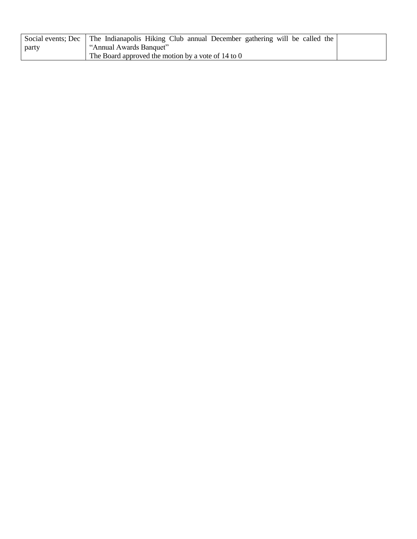|       | Social events; Dec   The Indianapolis Hiking Club annual December gathering will be called the |  |
|-------|------------------------------------------------------------------------------------------------|--|
| party | "Annual Awards Banquet"                                                                        |  |
|       | The Board approved the motion by a vote of 14 to 0                                             |  |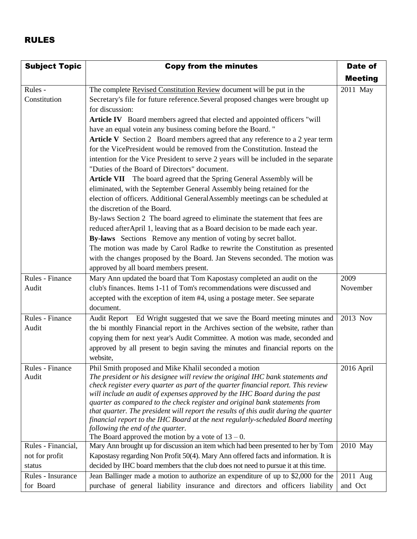## RULES

| <b>Subject Topic</b>     | <b>Copy from the minutes</b>                                                                                                                                                                                                                                                                                                                                                                                                                                                                                                                                                                                                                                        | Date of        |
|--------------------------|---------------------------------------------------------------------------------------------------------------------------------------------------------------------------------------------------------------------------------------------------------------------------------------------------------------------------------------------------------------------------------------------------------------------------------------------------------------------------------------------------------------------------------------------------------------------------------------------------------------------------------------------------------------------|----------------|
|                          |                                                                                                                                                                                                                                                                                                                                                                                                                                                                                                                                                                                                                                                                     | <b>Meeting</b> |
| Rules -<br>Constitution  | The complete Revised Constitution Review document will be put in the<br>Secretary's file for future reference. Several proposed changes were brought up                                                                                                                                                                                                                                                                                                                                                                                                                                                                                                             | 2011 May       |
|                          | for discussion:<br>Article IV Board members agreed that elected and appointed officers "will<br>have an equal votein any business coming before the Board."                                                                                                                                                                                                                                                                                                                                                                                                                                                                                                         |                |
|                          | Article V Section 2 Board members agreed that any reference to a 2 year term<br>for the VicePresident would be removed from the Constitution. Instead the<br>intention for the Vice President to serve 2 years will be included in the separate<br>"Duties of the Board of Directors" document.                                                                                                                                                                                                                                                                                                                                                                     |                |
|                          | Article VII The board agreed that the Spring General Assembly will be<br>eliminated, with the September General Assembly being retained for the<br>election of officers. Additional GeneralAssembly meetings can be scheduled at                                                                                                                                                                                                                                                                                                                                                                                                                                    |                |
|                          | the discretion of the Board.<br>By-laws Section 2 The board agreed to eliminate the statement that fees are                                                                                                                                                                                                                                                                                                                                                                                                                                                                                                                                                         |                |
|                          | reduced afterApril 1, leaving that as a Board decision to be made each year.<br>By-laws Sections Remove any mention of voting by secret ballot.                                                                                                                                                                                                                                                                                                                                                                                                                                                                                                                     |                |
|                          | The motion was made by Carol Radke to rewrite the Constitution as presented<br>with the changes proposed by the Board. Jan Stevens seconded. The motion was<br>approved by all board members present.                                                                                                                                                                                                                                                                                                                                                                                                                                                               |                |
| Rules - Finance          | Mary Ann updated the board that Tom Kapostasy completed an audit on the                                                                                                                                                                                                                                                                                                                                                                                                                                                                                                                                                                                             | 2009           |
| Audit                    | club's finances. Items 1-11 of Tom's recommendations were discussed and<br>accepted with the exception of item #4, using a postage meter. See separate<br>document.                                                                                                                                                                                                                                                                                                                                                                                                                                                                                                 | November       |
| Rules - Finance          | Audit Report Ed Wright suggested that we save the Board meeting minutes and                                                                                                                                                                                                                                                                                                                                                                                                                                                                                                                                                                                         | 2013 Nov       |
| Audit                    | the bi monthly Financial report in the Archives section of the website, rather than                                                                                                                                                                                                                                                                                                                                                                                                                                                                                                                                                                                 |                |
|                          | copying them for next year's Audit Committee. A motion was made, seconded and                                                                                                                                                                                                                                                                                                                                                                                                                                                                                                                                                                                       |                |
|                          | approved by all present to begin saving the minutes and financial reports on the<br>website,                                                                                                                                                                                                                                                                                                                                                                                                                                                                                                                                                                        |                |
| Rules - Finance<br>Audit | Phil Smith proposed and Mike Khalil seconded a motion<br>The president or his designee will review the original IHC bank statements and<br>check register every quarter as part of the quarter financial report. This review<br>will include an audit of expenses approved by the IHC Board during the past<br>quarter as compared to the check register and original bank statements from<br>that quarter. The president will report the results of this audit during the quarter<br>financial report to the IHC Board at the next regularly-scheduled Board meeting<br>following the end of the quarter.<br>The Board approved the motion by a vote of $13 - 0$ . | 2016 April     |
| Rules - Financial,       | Mary Ann brought up for discussion an item which had been presented to her by Tom                                                                                                                                                                                                                                                                                                                                                                                                                                                                                                                                                                                   | 2010 May       |
| not for profit           | Kapostasy regarding Non Profit 50(4). Mary Ann offered facts and information. It is                                                                                                                                                                                                                                                                                                                                                                                                                                                                                                                                                                                 |                |
| status                   | decided by IHC board members that the club does not need to pursue it at this time.                                                                                                                                                                                                                                                                                                                                                                                                                                                                                                                                                                                 |                |
| Rules - Insurance        | Jean Ballinger made a motion to authorize an expenditure of up to \$2,000 for the                                                                                                                                                                                                                                                                                                                                                                                                                                                                                                                                                                                   | 2011 Aug       |
| for Board                | purchase of general liability insurance and directors and officers liability                                                                                                                                                                                                                                                                                                                                                                                                                                                                                                                                                                                        | and Oct        |